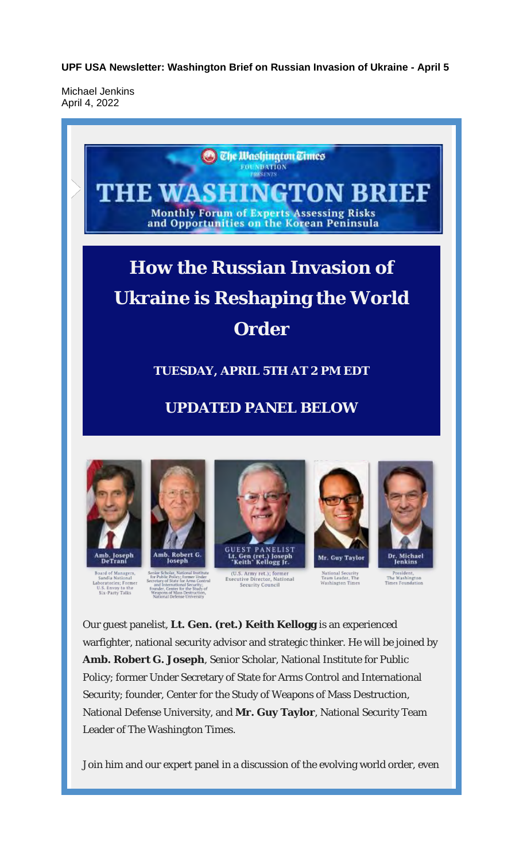**UPF USA Newsletter: Washington Brief on Russian Invasion of Ukraine - April 5**

Michael Jenkins April 4, 2022



Security; founder, Center for the Study of Weapons of Mass Destruction, National Defense University, and **Mr. Guy Taylor**, National Security Team Leader of The Washington Times.

Join him and our expert panel in a discussion of the evolving world order, even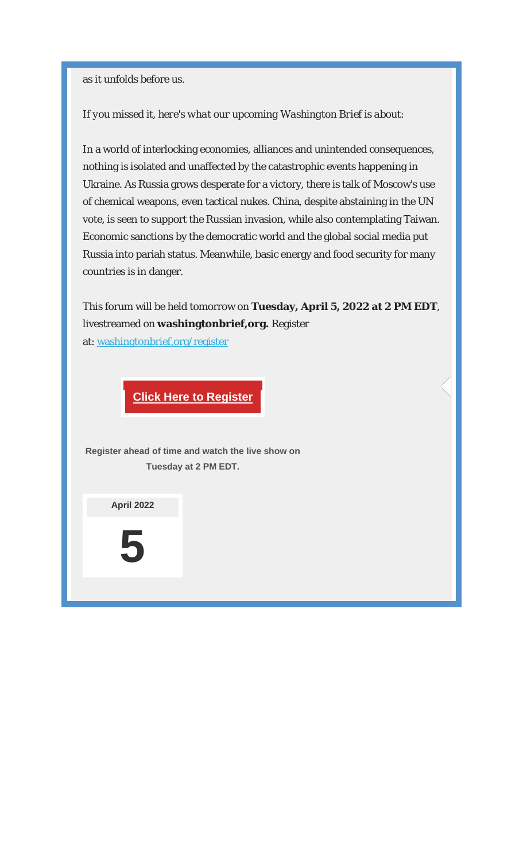as it unfolds before us.

#### *If you missed it, here's what our upcoming Washington Brief is about:*

In a world of interlocking economies, alliances and unintended consequences, nothing is isolated and unaffected by the catastrophic events happening in Ukraine. As Russia grows desperate for a victory, there is talk of Moscow's use of chemical weapons, even tactical nukes. China, despite abstaining in the UN vote, is seen to support the Russian invasion, while also contemplating Taiwan. Economic sanctions by the democratic world and the global social media put Russia into pariah status. Meanwhile, basic energy and food security for many countries is in danger.

This forum will be held tomorrow on **Tuesday, April 5, 2022 at 2 PM EDT**, livestreamed on **washingtonbrief,org.** Register at: washingtonbrief,org/register

### **Click Here to Register**

**Register ahead of time and watch the live show on Tuesday at 2 PM EDT.**

**April 2022**

**5**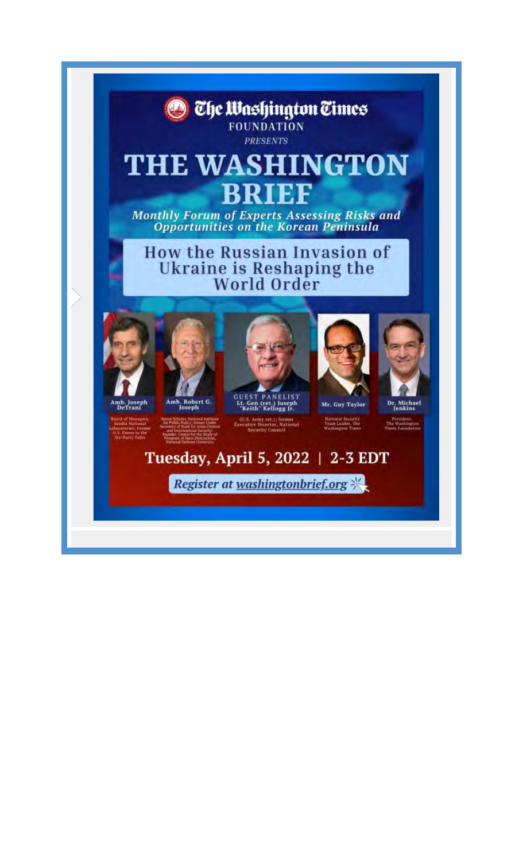